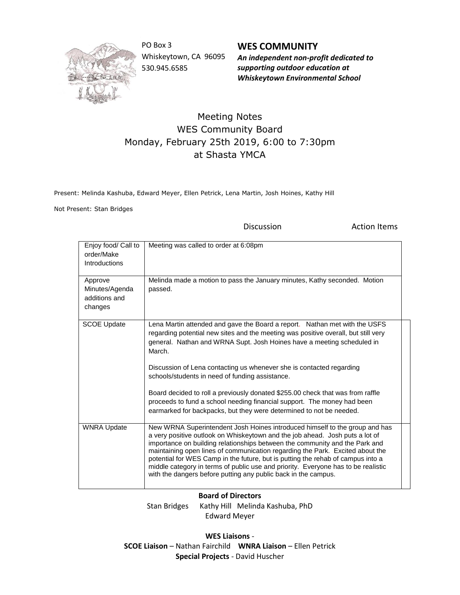

PO Box 3 Whiskeytown, CA 96095 530.945.6585

**WES COMMUNITY** *An independent non-profit dedicated to supporting outdoor education at Whiskeytown Environmental School*

## Meeting Notes WES Community Board Monday, February 25th 2019, 6:00 to 7:30pm at Shasta YMCA

Present: Melinda Kashuba, Edward Meyer, Ellen Petrick, Lena Martin, Josh Hoines, Kathy Hill

Not Present: Stan Bridges

Discussion **Action Items** 

| Enjoy food/ Call to<br>order/Make<br>Introductions    | Meeting was called to order at 6:08pm                                                                                                                                                                                                                                                                                                                                                                                                                                                                                                                                                                               |
|-------------------------------------------------------|---------------------------------------------------------------------------------------------------------------------------------------------------------------------------------------------------------------------------------------------------------------------------------------------------------------------------------------------------------------------------------------------------------------------------------------------------------------------------------------------------------------------------------------------------------------------------------------------------------------------|
| Approve<br>Minutes/Agenda<br>additions and<br>changes | Melinda made a motion to pass the January minutes, Kathy seconded. Motion<br>passed.                                                                                                                                                                                                                                                                                                                                                                                                                                                                                                                                |
| <b>SCOE Update</b>                                    | Lena Martin attended and gave the Board a report. Nathan met with the USFS<br>regarding potential new sites and the meeting was positive overall, but still very<br>general. Nathan and WRNA Supt. Josh Hoines have a meeting scheduled in<br>March.<br>Discussion of Lena contacting us whenever she is contacted regarding<br>schools/students in need of funding assistance.<br>Board decided to roll a previously donated \$255.00 check that was from raffle<br>proceeds to fund a school needing financial support. The money had been<br>earmarked for backpacks, but they were determined to not be needed. |
| <b>WNRA Update</b>                                    | New WRNA Superintendent Josh Hoines introduced himself to the group and has<br>a very positive outlook on Whiskeytown and the job ahead. Josh puts a lot of<br>importance on building relationships between the community and the Park and<br>maintaining open lines of communication regarding the Park. Excited about the<br>potential for WES Camp in the future, but is putting the rehab of campus into a<br>middle category in terms of public use and priority. Everyone has to be realistic<br>with the dangers before putting any public back in the campus.                                               |

## **Board of Directors**

Stan Bridges Kathy Hill Melinda Kashuba, PhD Edward Meyer

**WES Liaisons** - **SCOE Liaison** – Nathan Fairchild **WNRA Liaison** – Ellen Petrick **Special Projects** - David Huscher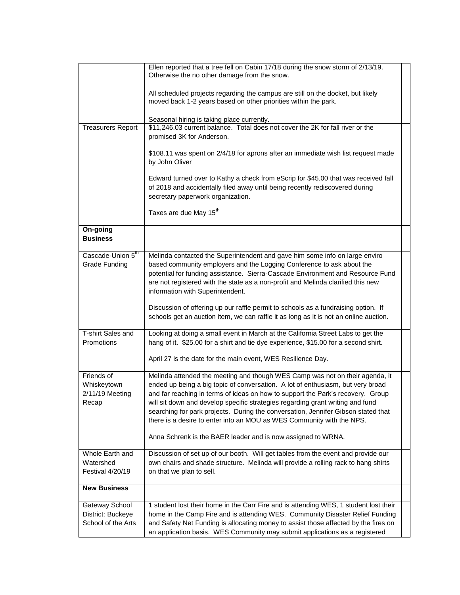|                                                           | Ellen reported that a tree fell on Cabin 17/18 during the snow storm of 2/13/19.<br>Otherwise the no other damage from the snow.                                                                                                                                                                                                                                                                                                                                                                   |  |
|-----------------------------------------------------------|----------------------------------------------------------------------------------------------------------------------------------------------------------------------------------------------------------------------------------------------------------------------------------------------------------------------------------------------------------------------------------------------------------------------------------------------------------------------------------------------------|--|
|                                                           | All scheduled projects regarding the campus are still on the docket, but likely<br>moved back 1-2 years based on other priorities within the park.                                                                                                                                                                                                                                                                                                                                                 |  |
|                                                           | Seasonal hiring is taking place currently.                                                                                                                                                                                                                                                                                                                                                                                                                                                         |  |
| <b>Treasurers Report</b>                                  | \$11,246.03 current balance. Total does not cover the 2K for fall river or the<br>promised 3K for Anderson.                                                                                                                                                                                                                                                                                                                                                                                        |  |
|                                                           | \$108.11 was spent on 2/4/18 for aprons after an immediate wish list request made<br>by John Oliver                                                                                                                                                                                                                                                                                                                                                                                                |  |
|                                                           | Edward turned over to Kathy a check from eScrip for \$45.00 that was received fall<br>of 2018 and accidentally filed away until being recently rediscovered during<br>secretary paperwork organization.                                                                                                                                                                                                                                                                                            |  |
|                                                           | Taxes are due May 15 <sup>th</sup>                                                                                                                                                                                                                                                                                                                                                                                                                                                                 |  |
| On-going<br><b>Business</b>                               |                                                                                                                                                                                                                                                                                                                                                                                                                                                                                                    |  |
| Cascade-Union 5th<br><b>Grade Funding</b>                 | Melinda contacted the Superintendent and gave him some info on large enviro<br>based community employers and the Logging Conference to ask about the<br>potential for funding assistance. Sierra-Cascade Environment and Resource Fund<br>are not registered with the state as a non-profit and Melinda clarified this new                                                                                                                                                                         |  |
|                                                           | information with Superintendent.                                                                                                                                                                                                                                                                                                                                                                                                                                                                   |  |
|                                                           | Discussion of offering up our raffle permit to schools as a fundraising option. If<br>schools get an auction item, we can raffle it as long as it is not an online auction.                                                                                                                                                                                                                                                                                                                        |  |
| T-shirt Sales and<br>Promotions                           | Looking at doing a small event in March at the California Street Labs to get the<br>hang of it. \$25.00 for a shirt and tie dye experience, \$15.00 for a second shirt.                                                                                                                                                                                                                                                                                                                            |  |
|                                                           | April 27 is the date for the main event, WES Resilience Day.                                                                                                                                                                                                                                                                                                                                                                                                                                       |  |
| Friends of<br>Whiskeytown<br>2/11/19 Meeting<br>Recap     | Melinda attended the meeting and though WES Camp was not on their agenda, it<br>ended up being a big topic of conversation. A lot of enthusiasm, but very broad<br>and far reaching in terms of ideas on how to support the Park's recovery. Group<br>will sit down and develop specific strategies regarding grant writing and fund<br>searching for park projects. During the conversation, Jennifer Gibson stated that<br>there is a desire to enter into an MOU as WES Community with the NPS. |  |
|                                                           | Anna Schrenk is the BAER leader and is now assigned to WRNA.                                                                                                                                                                                                                                                                                                                                                                                                                                       |  |
| Whole Earth and<br>Watershed<br>Festival 4/20/19          | Discussion of set up of our booth. Will get tables from the event and provide our<br>own chairs and shade structure. Melinda will provide a rolling rack to hang shirts<br>on that we plan to sell.                                                                                                                                                                                                                                                                                                |  |
| <b>New Business</b>                                       |                                                                                                                                                                                                                                                                                                                                                                                                                                                                                                    |  |
| Gateway School<br>District: Buckeye<br>School of the Arts | 1 student lost their home in the Carr Fire and is attending WES, 1 student lost their<br>home in the Camp Fire and is attending WES. Community Disaster Relief Funding<br>and Safety Net Funding is allocating money to assist those affected by the fires on<br>an application basis. WES Community may submit applications as a registered                                                                                                                                                       |  |